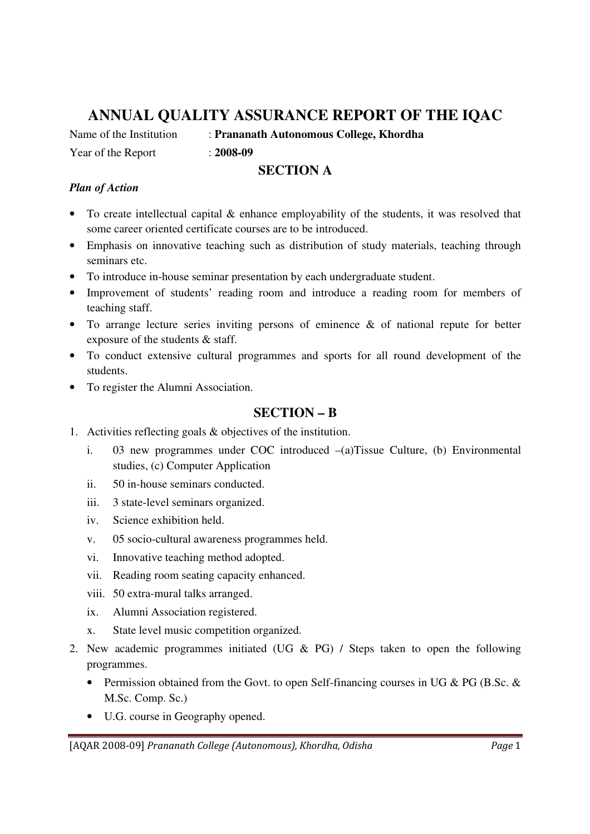## **ANNUAL QUALITY ASSURANCE REPORT OF THE IQAC**

Name of the Institution : **Prananath Autonomous College, Khordha**

Year of the Report : **2008-09** 

## **SECTION A**

## *Plan of Action*

- To create intellectual capital & enhance employability of the students, it was resolved that some career oriented certificate courses are to be introduced.
- Emphasis on innovative teaching such as distribution of study materials, teaching through seminars etc.
- To introduce in-house seminar presentation by each undergraduate student.
- Improvement of students' reading room and introduce a reading room for members of teaching staff.
- To arrange lecture series inviting persons of eminence & of national repute for better exposure of the students & staff.
- To conduct extensive cultural programmes and sports for all round development of the students.
- To register the Alumni Association.

## **SECTION – B**

- 1. Activities reflecting goals & objectives of the institution.
	- i. 03 new programmes under COC introduced –(a)Tissue Culture, (b) Environmental studies, (c) Computer Application
	- ii. 50 in-house seminars conducted.
	- iii. 3 state-level seminars organized.
	- iv. Science exhibition held.
	- v. 05 socio-cultural awareness programmes held.
	- vi. Innovative teaching method adopted.
	- vii. Reading room seating capacity enhanced.
	- viii. 50 extra-mural talks arranged.
	- ix. Alumni Association registered.
	- x. State level music competition organized.
- 2. New academic programmes initiated (UG & PG) / Steps taken to open the following programmes.
	- Permission obtained from the Govt. to open Self-financing courses in UG & PG (B.Sc. & M.Sc. Comp. Sc.)
	- U.G. course in Geography opened.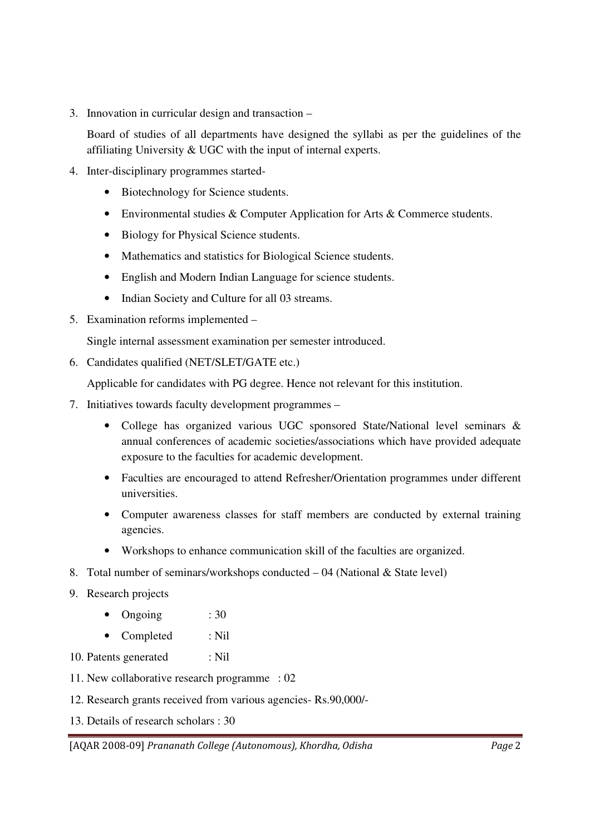3. Innovation in curricular design and transaction –

Board of studies of all departments have designed the syllabi as per the guidelines of the affiliating University & UGC with the input of internal experts.

- 4. Inter-disciplinary programmes started-
	- Biotechnology for Science students.
	- Environmental studies & Computer Application for Arts & Commerce students.
	- Biology for Physical Science students.
	- Mathematics and statistics for Biological Science students.
	- English and Modern Indian Language for science students.
	- Indian Society and Culture for all 03 streams.
- 5. Examination reforms implemented –

Single internal assessment examination per semester introduced.

6. Candidates qualified (NET/SLET/GATE etc.)

Applicable for candidates with PG degree. Hence not relevant for this institution.

- 7. Initiatives towards faculty development programmes
	- College has organized various UGC sponsored State/National level seminars & annual conferences of academic societies/associations which have provided adequate exposure to the faculties for academic development.
	- Faculties are encouraged to attend Refresher/Orientation programmes under different universities.
	- Computer awareness classes for staff members are conducted by external training agencies.
	- Workshops to enhance communication skill of the faculties are organized.
- 8. Total number of seminars/workshops conducted  $-04$  (National & State level)
- 9. Research projects
	- Ongoing : 30
	- Completed : Nil
- 10. Patents generated : Nil
- 11. New collaborative research programme : 02
- 12. Research grants received from various agencies- Rs.90,000/-
- 13. Details of research scholars : 30

[AQAR 2008-09] *Prananath College (Autonomous), Khordha, Odisha Page* 2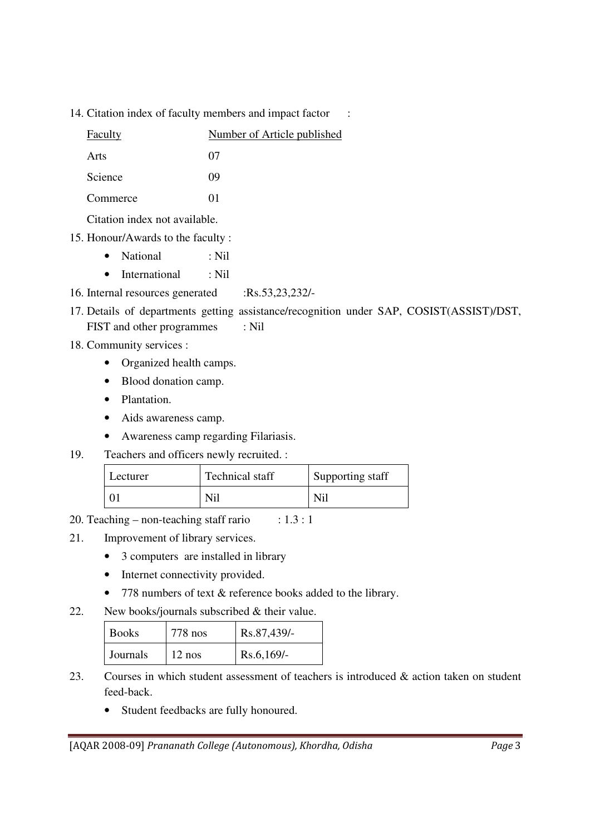14. Citation index of faculty members and impact factor :

| Faculty  | Number of Article published |
|----------|-----------------------------|
| Arts     | 07                          |
| Science  | 09                          |
| Commerce | $^{O1}$                     |

Citation index not available.

- 15. Honour/Awards to the faculty :
	- National : Nil
	- International : Nil
- 16. Internal resources generated :Rs.53,23,232/-
- 17. Details of departments getting assistance/recognition under SAP, COSIST(ASSIST)/DST, FIST and other programmes : Nil
- 
- 18. Community services :
	- Organized health camps.
	- Blood donation camp.
	- Plantation.
	- Aids awareness camp.
	- Awareness camp regarding Filariasis.
- 19. Teachers and officers newly recruited. :

| Lecturer | Technical staff | Supporting staff |
|----------|-----------------|------------------|
|          | Ni <sup>2</sup> | Ni <sup>2</sup>  |

20. Teaching – non-teaching staff rario :  $1.3:1$ 

- 21. Improvement of library services.
	- 3 computers are installed in library
	- Internet connectivity provided.
	- 778 numbers of text & reference books added to the library.
- 22. New books/journals subscribed & their value.

| <b>Books</b> | $778$ nos | Rs.87,439/-  |
|--------------|-----------|--------------|
| Journals     | $12$ nos  | $Rs.6,169/-$ |

- 23. Courses in which student assessment of teachers is introduced & action taken on student feed-back.
	- Student feedbacks are fully honoured.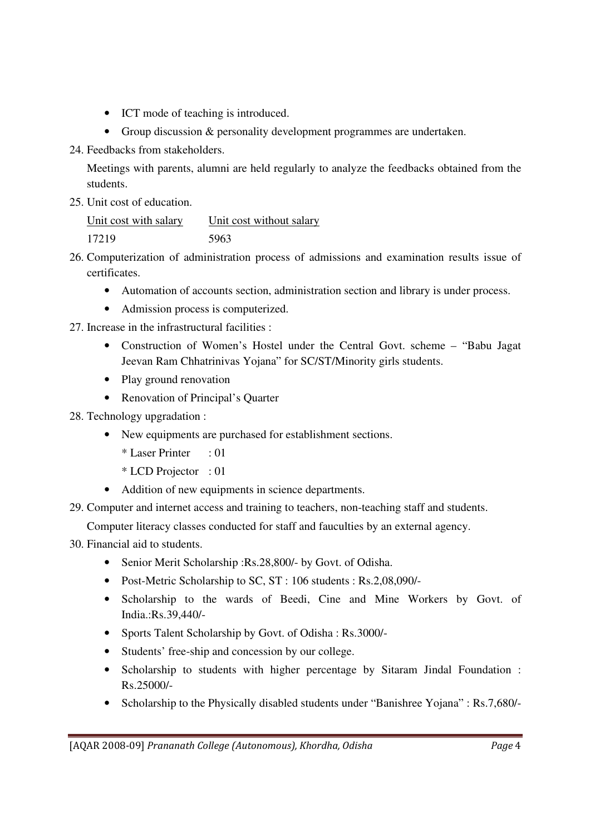- ICT mode of teaching is introduced.
- Group discussion & personality development programmes are undertaken.
- 24. Feedbacks from stakeholders.

Meetings with parents, alumni are held regularly to analyze the feedbacks obtained from the students.

25. Unit cost of education.

Unit cost with salary Unit cost without salary 17219 5963

- 26. Computerization of administration process of admissions and examination results issue of certificates.
	- Automation of accounts section, administration section and library is under process.
	- Admission process is computerized.
- 27. Increase in the infrastructural facilities :
	- Construction of Women's Hostel under the Central Govt. scheme "Babu Jagat Jeevan Ram Chhatrinivas Yojana" for SC/ST/Minority girls students.
	- Play ground renovation
	- Renovation of Principal's Quarter

28. Technology upgradation :

- New equipments are purchased for establishment sections.
	- \* Laser Printer : 01
	- \* LCD Projector : 01
- Addition of new equipments in science departments.
- 29. Computer and internet access and training to teachers, non-teaching staff and students.

Computer literacy classes conducted for staff and fauculties by an external agency.

- 30. Financial aid to students.
	- Senior Merit Scholarship :Rs.28,800/- by Govt. of Odisha.
	- Post-Metric Scholarship to SC, ST : 106 students : Rs.2,08,090/-
	- Scholarship to the wards of Beedi, Cine and Mine Workers by Govt. of India.:Rs.39,440/-
	- Sports Talent Scholarship by Govt. of Odisha : Rs.3000/-
	- Students' free-ship and concession by our college.
	- Scholarship to students with higher percentage by Sitaram Jindal Foundation : Rs.25000/-
	- Scholarship to the Physically disabled students under "Banishree Yojana" : Rs.7,680/-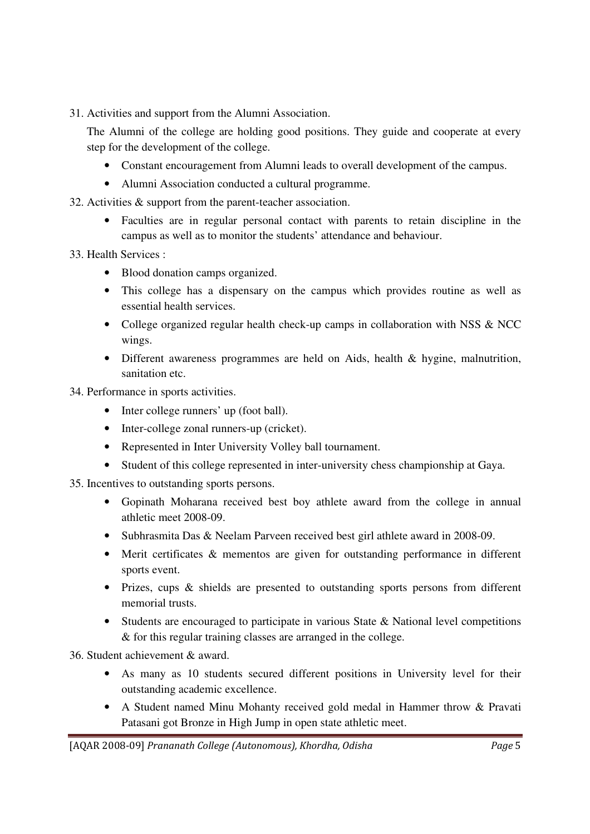31. Activities and support from the Alumni Association.

The Alumni of the college are holding good positions. They guide and cooperate at every step for the development of the college.

- Constant encouragement from Alumni leads to overall development of the campus.
- Alumni Association conducted a cultural programme.
- 32. Activities & support from the parent-teacher association.
	- Faculties are in regular personal contact with parents to retain discipline in the campus as well as to monitor the students' attendance and behaviour.

33. Health Services :

- Blood donation camps organized.
- This college has a dispensary on the campus which provides routine as well as essential health services.
- College organized regular health check-up camps in collaboration with NSS & NCC wings.
- Different awareness programmes are held on Aids, health & hygine, malnutrition, sanitation etc.

34. Performance in sports activities.

- Inter college runners' up (foot ball).
- Inter-college zonal runners-up (cricket).
- Represented in Inter University Volley ball tournament.
- Student of this college represented in inter-university chess championship at Gaya.

35. Incentives to outstanding sports persons.

- Gopinath Moharana received best boy athlete award from the college in annual athletic meet 2008-09.
- Subhrasmita Das & Neelam Parveen received best girl athlete award in 2008-09.
- Merit certificates & mementos are given for outstanding performance in different sports event.
- Prizes, cups & shields are presented to outstanding sports persons from different memorial trusts.
- Students are encouraged to participate in various State & National level competitions & for this regular training classes are arranged in the college.

36. Student achievement & award.

- As many as 10 students secured different positions in University level for their outstanding academic excellence.
- A Student named Minu Mohanty received gold medal in Hammer throw & Pravati Patasani got Bronze in High Jump in open state athletic meet.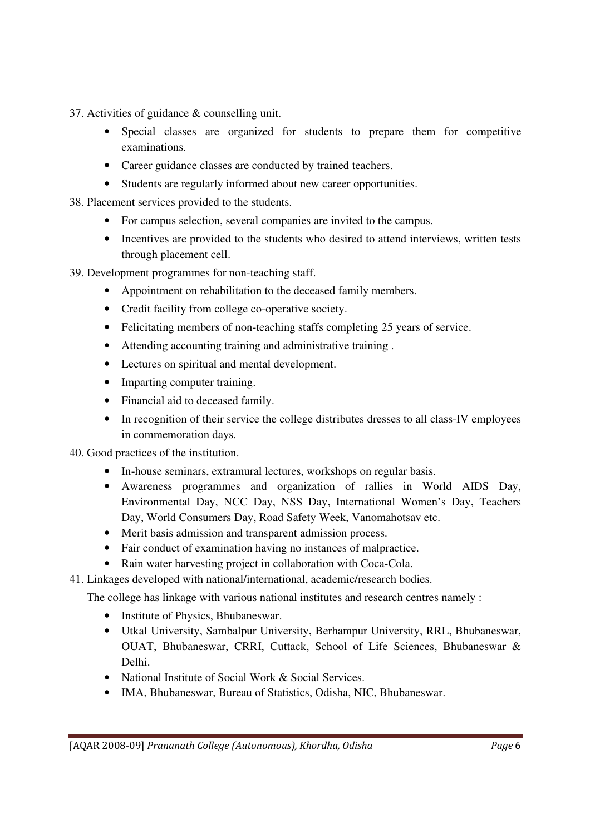37. Activities of guidance & counselling unit.

- Special classes are organized for students to prepare them for competitive examinations.
- Career guidance classes are conducted by trained teachers.
- Students are regularly informed about new career opportunities.

38. Placement services provided to the students.

- For campus selection, several companies are invited to the campus.
- Incentives are provided to the students who desired to attend interviews, written tests through placement cell.

39. Development programmes for non-teaching staff.

- Appointment on rehabilitation to the deceased family members.
- Credit facility from college co-operative society.
- Felicitating members of non-teaching staffs completing 25 years of service.
- Attending accounting training and administrative training .
- Lectures on spiritual and mental development.
- Imparting computer training.
- Financial aid to deceased family.
- In recognition of their service the college distributes dresses to all class-IV employees in commemoration days.

40. Good practices of the institution.

- In-house seminars, extramural lectures, workshops on regular basis.
- Awareness programmes and organization of rallies in World AIDS Day, Environmental Day, NCC Day, NSS Day, International Women's Day, Teachers Day, World Consumers Day, Road Safety Week, Vanomahotsav etc.
- Merit basis admission and transparent admission process.
- Fair conduct of examination having no instances of malpractice.
- Rain water harvesting project in collaboration with Coca-Cola.

41. Linkages developed with national/international, academic/research bodies.

The college has linkage with various national institutes and research centres namely :

- Institute of Physics, Bhubaneswar.
- Utkal University, Sambalpur University, Berhampur University, RRL, Bhubaneswar, OUAT, Bhubaneswar, CRRI, Cuttack, School of Life Sciences, Bhubaneswar & Delhi.
- National Institute of Social Work & Social Services.
- IMA, Bhubaneswar, Bureau of Statistics, Odisha, NIC, Bhubaneswar.